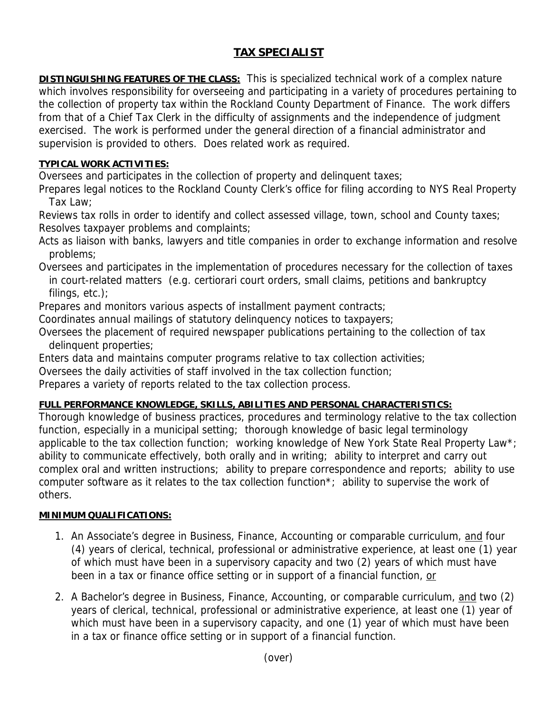## **TAX SPECIALIST**

**DISTINGUISHING FEATURES OF THE CLASS:** This is specialized technical work of a complex nature which involves responsibility for overseeing and participating in a variety of procedures pertaining to the collection of property tax within the Rockland County Department of Finance. The work differs from that of a Chief Tax Clerk in the difficulty of assignments and the independence of judgment exercised. The work is performed under the general direction of a financial administrator and supervision is provided to others. Does related work as required.

## **TYPICAL WORK ACTIVITIES:**

Oversees and participates in the collection of property and delinquent taxes;

Prepares legal notices to the Rockland County Clerk's office for filing according to NYS Real Property Tax Law;

Reviews tax rolls in order to identify and collect assessed village, town, school and County taxes; Resolves taxpayer problems and complaints;

Acts as liaison with banks, lawyers and title companies in order to exchange information and resolve problems;

Oversees and participates in the implementation of procedures necessary for the collection of taxes in court-related matters (e.g. certiorari court orders, small claims, petitions and bankruptcy filings, etc.);

Prepares and monitors various aspects of installment payment contracts;

Coordinates annual mailings of statutory delinquency notices to taxpayers;

Oversees the placement of required newspaper publications pertaining to the collection of tax delinquent properties;

Enters data and maintains computer programs relative to tax collection activities;

Oversees the daily activities of staff involved in the tax collection function;

Prepares a variety of reports related to the tax collection process.

## **FULL PERFORMANCE KNOWLEDGE, SKILLS, ABILITIES AND PERSONAL CHARACTERISTICS:**

Thorough knowledge of business practices, procedures and terminology relative to the tax collection function, especially in a municipal setting; thorough knowledge of basic legal terminology applicable to the tax collection function; working knowledge of New York State Real Property Law\*; ability to communicate effectively, both orally and in writing; ability to interpret and carry out complex oral and written instructions; ability to prepare correspondence and reports; ability to use computer software as it relates to the tax collection function\*; ability to supervise the work of others.

## **MINIMUM QUALIFICATIONS:**

- 1. An Associate's degree in Business, Finance, Accounting or comparable curriculum, and four (4) years of clerical, technical, professional or administrative experience, at least one (1) year of which must have been in a supervisory capacity and two (2) years of which must have been in a tax or finance office setting or in support of a financial function, or
- 2. A Bachelor's degree in Business, Finance, Accounting, or comparable curriculum, and two (2) years of clerical, technical, professional or administrative experience, at least one (1) year of which must have been in a supervisory capacity, and one (1) year of which must have been in a tax or finance office setting or in support of a financial function.